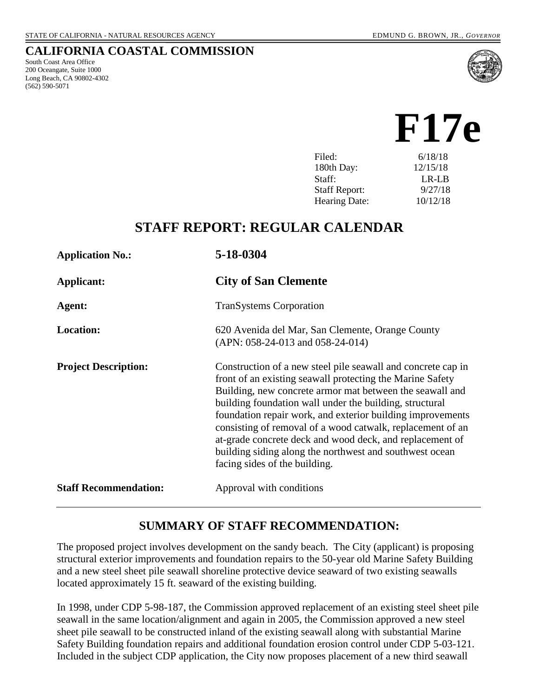#### **CALIFORNIA COASTAL COMMISSION**

South Coast Area Office 200 Oceangate, Suite 1000 Long Beach, CA 90802-4302 (562) 590-5071



# **F17e**

| Filed:               | 6/18/18  |
|----------------------|----------|
| 180th Day:           | 12/15/18 |
| Staff:               | $LR-LR$  |
| <b>Staff Report:</b> | 9/27/18  |
| <b>Hearing Date:</b> | 10/12/18 |
|                      |          |

## **STAFF REPORT: REGULAR CALENDAR**

| <b>Application No.:</b>      | 5-18-0304                                                                                                                                                                                                                                                                                                                                                                                                                                                                                                                            |
|------------------------------|--------------------------------------------------------------------------------------------------------------------------------------------------------------------------------------------------------------------------------------------------------------------------------------------------------------------------------------------------------------------------------------------------------------------------------------------------------------------------------------------------------------------------------------|
| Applicant:                   | <b>City of San Clemente</b>                                                                                                                                                                                                                                                                                                                                                                                                                                                                                                          |
| Agent:                       | <b>TranSystems Corporation</b>                                                                                                                                                                                                                                                                                                                                                                                                                                                                                                       |
| <b>Location:</b>             | 620 Avenida del Mar, San Clemente, Orange County<br>$(APN: 058-24-013$ and $058-24-014)$                                                                                                                                                                                                                                                                                                                                                                                                                                             |
| <b>Project Description:</b>  | Construction of a new steel pile seawall and concrete cap in<br>front of an existing seawall protecting the Marine Safety<br>Building, new concrete armor mat between the seawall and<br>building foundation wall under the building, structural<br>foundation repair work, and exterior building improvements<br>consisting of removal of a wood catwalk, replacement of an<br>at-grade concrete deck and wood deck, and replacement of<br>building siding along the northwest and southwest ocean<br>facing sides of the building. |
| <b>Staff Recommendation:</b> | Approval with conditions                                                                                                                                                                                                                                                                                                                                                                                                                                                                                                             |

## **SUMMARY OF STAFF RECOMMENDATION:**

The proposed project involves development on the sandy beach. The City (applicant) is proposing structural exterior improvements and foundation repairs to the 50-year old Marine Safety Building and a new steel sheet pile seawall shoreline protective device seaward of two existing seawalls located approximately 15 ft. seaward of the existing building.

In 1998, under CDP 5-98-187, the Commission approved replacement of an existing steel sheet pile seawall in the same location/alignment and again in 2005, the Commission approved a new steel sheet pile seawall to be constructed inland of the existing seawall along with substantial Marine Safety Building foundation repairs and additional foundation erosion control under CDP 5-03-121. Included in the subject CDP application, the City now proposes placement of a new third seawall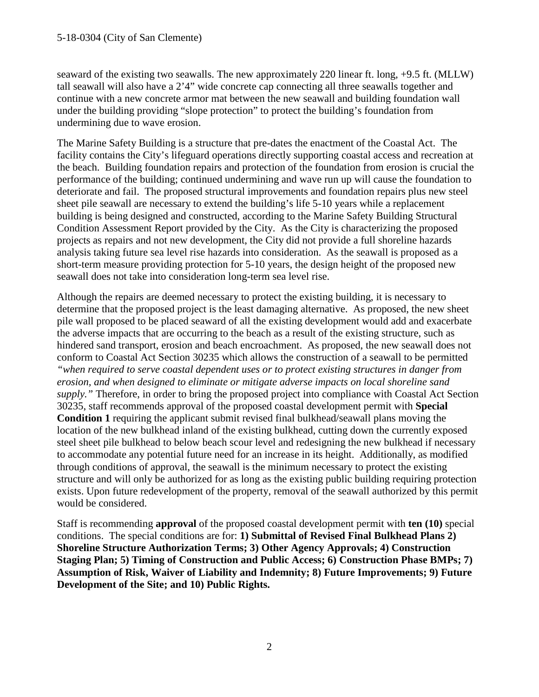seaward of the existing two seawalls. The new approximately 220 linear ft. long, +9.5 ft. (MLLW) tall seawall will also have a 2'4" wide concrete cap connecting all three seawalls together and continue with a new concrete armor mat between the new seawall and building foundation wall under the building providing "slope protection" to protect the building's foundation from undermining due to wave erosion.

The Marine Safety Building is a structure that pre-dates the enactment of the Coastal Act. The facility contains the City's lifeguard operations directly supporting coastal access and recreation at the beach. Building foundation repairs and protection of the foundation from erosion is crucial the performance of the building; continued undermining and wave run up will cause the foundation to deteriorate and fail. The proposed structural improvements and foundation repairs plus new steel sheet pile seawall are necessary to extend the building's life 5-10 years while a replacement building is being designed and constructed, according to the Marine Safety Building Structural Condition Assessment Report provided by the City. As the City is characterizing the proposed projects as repairs and not new development, the City did not provide a full shoreline hazards analysis taking future sea level rise hazards into consideration. As the seawall is proposed as a short-term measure providing protection for 5-10 years, the design height of the proposed new seawall does not take into consideration long-term sea level rise.

Although the repairs are deemed necessary to protect the existing building, it is necessary to determine that the proposed project is the least damaging alternative. As proposed, the new sheet pile wall proposed to be placed seaward of all the existing development would add and exacerbate the adverse impacts that are occurring to the beach as a result of the existing structure, such as hindered sand transport, erosion and beach encroachment. As proposed, the new seawall does not conform to Coastal Act Section 30235 which allows the construction of a seawall to be permitted *"when required to serve coastal dependent uses or to protect existing structures in danger from erosion, and when designed to eliminate or mitigate adverse impacts on local shoreline sand supply."* Therefore, in order to bring the proposed project into compliance with Coastal Act Section 30235, staff recommends approval of the proposed coastal development permit with **Special Condition 1** requiring the applicant submit revised final bulkhead/seawall plans moving the location of the new bulkhead inland of the existing bulkhead, cutting down the currently exposed steel sheet pile bulkhead to below beach scour level and redesigning the new bulkhead if necessary to accommodate any potential future need for an increase in its height. Additionally, as modified through conditions of approval, the seawall is the minimum necessary to protect the existing structure and will only be authorized for as long as the existing public building requiring protection exists. Upon future redevelopment of the property, removal of the seawall authorized by this permit would be considered.

Staff is recommending **approval** of the proposed coastal development permit with **ten (10)** special conditions. The special conditions are for: **1) Submittal of Revised Final Bulkhead Plans 2) Shoreline Structure Authorization Terms; 3) Other Agency Approvals; 4) Construction Staging Plan; 5) Timing of Construction and Public Access; 6) Construction Phase BMPs; 7) Assumption of Risk, Waiver of Liability and Indemnity; 8) Future Improvements; 9) Future Development of the Site; and 10) Public Rights.**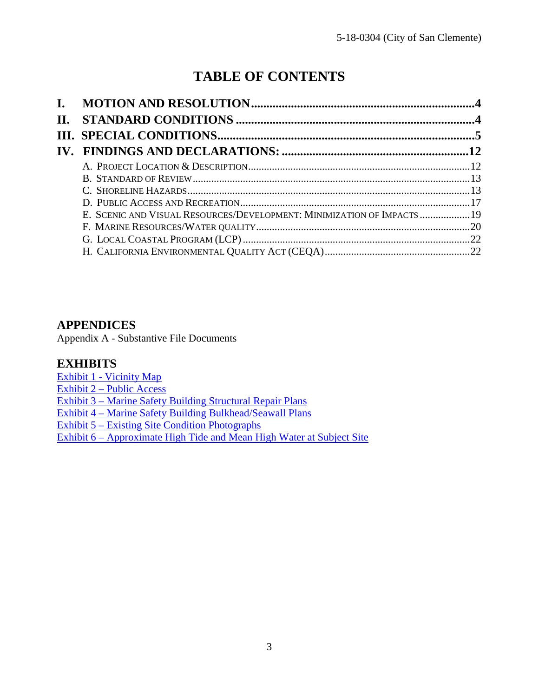## **TABLE OF CONTENTS**

| Н. |                                                                         |  |
|----|-------------------------------------------------------------------------|--|
|    |                                                                         |  |
|    |                                                                         |  |
|    |                                                                         |  |
|    |                                                                         |  |
|    |                                                                         |  |
|    |                                                                         |  |
|    | E. SCENIC AND VISUAL RESOURCES/DEVELOPMENT: MINIMIZATION OF IMPACTS  19 |  |
|    |                                                                         |  |
|    |                                                                         |  |
|    |                                                                         |  |

## **APPENDICES**

Appendix A - Substantive File Documents

#### **EXHIBITS**

Exhibit 1 - [Vicinity Map](https://documents.coastal.ca.gov/reports/2018/10/f17e/f17e-10-2018-exhibits.pdf) Exhibit 2 – [Public Access](https://documents.coastal.ca.gov/reports/2018/10/f17e/f17e-10-2018-exhibits.pdf)  Exhibit 3 – [Marine Safety Building Structural Repair Plans](https://documents.coastal.ca.gov/reports/2018/10/f17e/f17e-10-2018-exhibits.pdf) Exhibit 4 – [Marine Safety Building Bulkhead/Seawall Plans](https://documents.coastal.ca.gov/reports/2018/10/f17e/f17e-10-2018-exhibits.pdf)  Exhibit 5 – [Existing Site Condition Photographs](https://documents.coastal.ca.gov/reports/2018/10/f17e/f17e-10-2018-exhibits.pdf) Exhibit 6 – [Approximate High Tide and Mean High Water at Subject Site](https://documents.coastal.ca.gov/reports/2018/10/f17e/f17e-10-2018-exhibits.pdf)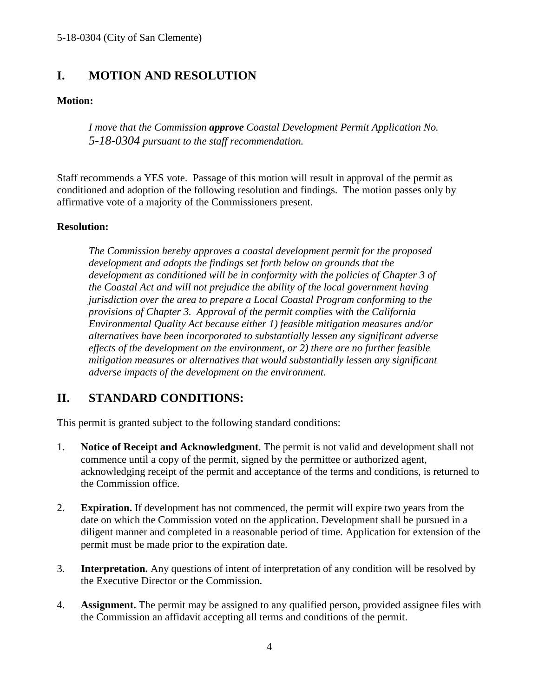## <span id="page-3-0"></span>**I. MOTION AND RESOLUTION**

#### **Motion:**

*I move that the Commission approve Coastal Development Permit Application No. 5-18-0304 pursuant to the staff recommendation.*

Staff recommends a YES vote. Passage of this motion will result in approval of the permit as conditioned and adoption of the following resolution and findings. The motion passes only by affirmative vote of a majority of the Commissioners present.

#### **Resolution:**

*The Commission hereby approves a coastal development permit for the proposed development and adopts the findings set forth below on grounds that the development as conditioned will be in conformity with the policies of Chapter 3 of the Coastal Act and will not prejudice the ability of the local government having jurisdiction over the area to prepare a Local Coastal Program conforming to the provisions of Chapter 3. Approval of the permit complies with the California Environmental Quality Act because either 1) feasible mitigation measures and/or alternatives have been incorporated to substantially lessen any significant adverse effects of the development on the environment, or 2) there are no further feasible mitigation measures or alternatives that would substantially lessen any significant adverse impacts of the development on the environment.*

## <span id="page-3-1"></span>**II. STANDARD CONDITIONS:**

This permit is granted subject to the following standard conditions:

- 1. **Notice of Receipt and Acknowledgment**. The permit is not valid and development shall not commence until a copy of the permit, signed by the permittee or authorized agent, acknowledging receipt of the permit and acceptance of the terms and conditions, is returned to the Commission office.
- 2. **Expiration.** If development has not commenced, the permit will expire two years from the date on which the Commission voted on the application. Development shall be pursued in a diligent manner and completed in a reasonable period of time. Application for extension of the permit must be made prior to the expiration date.
- 3. **Interpretation.** Any questions of intent of interpretation of any condition will be resolved by the Executive Director or the Commission.
- 4. **Assignment.** The permit may be assigned to any qualified person, provided assignee files with the Commission an affidavit accepting all terms and conditions of the permit.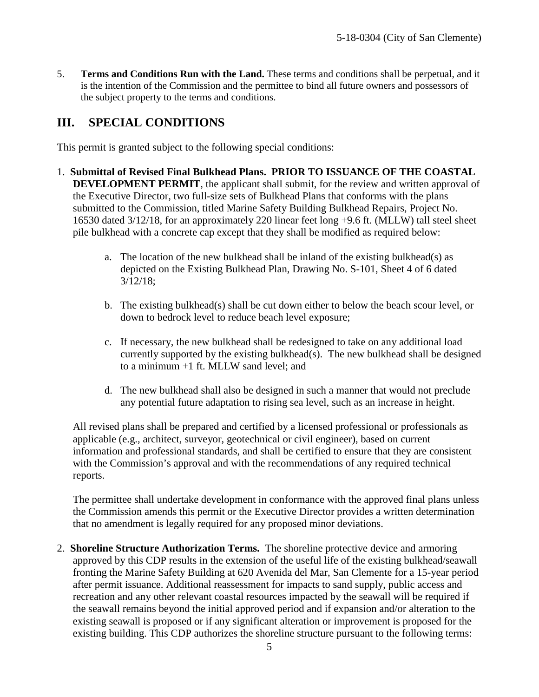5. **Terms and Conditions Run with the Land.** These terms and conditions shall be perpetual, and it is the intention of the Commission and the permittee to bind all future owners and possessors of the subject property to the terms and conditions.

## <span id="page-4-0"></span>**III. SPECIAL CONDITIONS**

This permit is granted subject to the following special conditions:

- 1. **Submittal of Revised Final Bulkhead Plans. PRIOR TO ISSUANCE OF THE COASTAL DEVELOPMENT PERMIT**, the applicant shall submit, for the review and written approval of the Executive Director, two full-size sets of Bulkhead Plans that conforms with the plans submitted to the Commission, titled Marine Safety Building Bulkhead Repairs, Project No. 16530 dated 3/12/18, for an approximately 220 linear feet long +9.6 ft. (MLLW) tall steel sheet pile bulkhead with a concrete cap except that they shall be modified as required below:
	- a. The location of the new bulkhead shall be inland of the existing bulkhead(s) as depicted on the Existing Bulkhead Plan, Drawing No. S-101, Sheet 4 of 6 dated 3/12/18;
	- b. The existing bulkhead(s) shall be cut down either to below the beach scour level, or down to bedrock level to reduce beach level exposure;
	- c. If necessary, the new bulkhead shall be redesigned to take on any additional load currently supported by the existing bulkhead(s). The new bulkhead shall be designed to a minimum +1 ft. MLLW sand level; and
	- d. The new bulkhead shall also be designed in such a manner that would not preclude any potential future adaptation to rising sea level, such as an increase in height.

All revised plans shall be prepared and certified by a licensed professional or professionals as applicable (e.g., architect, surveyor, geotechnical or civil engineer), based on current information and professional standards, and shall be certified to ensure that they are consistent with the Commission's approval and with the recommendations of any required technical reports.

The permittee shall undertake development in conformance with the approved final plans unless the Commission amends this permit or the Executive Director provides a written determination that no amendment is legally required for any proposed minor deviations.

2. **Shoreline Structure Authorization Terms.** The shoreline protective device and armoring approved by this CDP results in the extension of the useful life of the existing bulkhead/seawall fronting the Marine Safety Building at 620 Avenida del Mar, San Clemente for a 15-year period after permit issuance. Additional reassessment for impacts to sand supply, public access and recreation and any other relevant coastal resources impacted by the seawall will be required if the seawall remains beyond the initial approved period and if expansion and/or alteration to the existing seawall is proposed or if any significant alteration or improvement is proposed for the existing building. This CDP authorizes the shoreline structure pursuant to the following terms: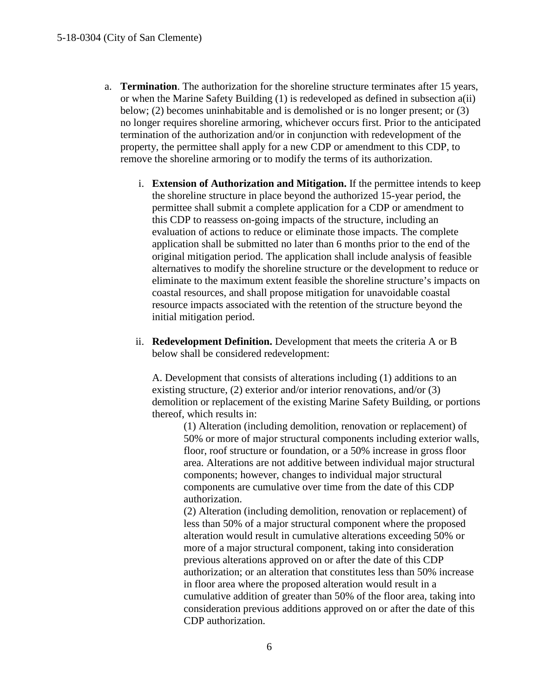- a. **Termination**. The authorization for the shoreline structure terminates after 15 years, or when the Marine Safety Building (1) is redeveloped as defined in subsection a(ii) below; (2) becomes uninhabitable and is demolished or is no longer present; or (3) no longer requires shoreline armoring, whichever occurs first. Prior to the anticipated termination of the authorization and/or in conjunction with redevelopment of the property, the permittee shall apply for a new CDP or amendment to this CDP, to remove the shoreline armoring or to modify the terms of its authorization.
	- i. **Extension of Authorization and Mitigation.** If the permittee intends to keep the shoreline structure in place beyond the authorized 15-year period, the permittee shall submit a complete application for a CDP or amendment to this CDP to reassess on-going impacts of the structure, including an evaluation of actions to reduce or eliminate those impacts. The complete application shall be submitted no later than 6 months prior to the end of the original mitigation period. The application shall include analysis of feasible alternatives to modify the shoreline structure or the development to reduce or eliminate to the maximum extent feasible the shoreline structure's impacts on coastal resources, and shall propose mitigation for unavoidable coastal resource impacts associated with the retention of the structure beyond the initial mitigation period.
	- ii. **Redevelopment Definition.** Development that meets the criteria A or B below shall be considered redevelopment:

A. Development that consists of alterations including (1) additions to an existing structure, (2) exterior and/or interior renovations, and/or (3) demolition or replacement of the existing Marine Safety Building, or portions thereof, which results in:

(1) Alteration (including demolition, renovation or replacement) of 50% or more of major structural components including exterior walls, floor, roof structure or foundation, or a 50% increase in gross floor area. Alterations are not additive between individual major structural components; however, changes to individual major structural components are cumulative over time from the date of this CDP authorization.

(2) Alteration (including demolition, renovation or replacement) of less than 50% of a major structural component where the proposed alteration would result in cumulative alterations exceeding 50% or more of a major structural component, taking into consideration previous alterations approved on or after the date of this CDP authorization; or an alteration that constitutes less than 50% increase in floor area where the proposed alteration would result in a cumulative addition of greater than 50% of the floor area, taking into consideration previous additions approved on or after the date of this CDP authorization.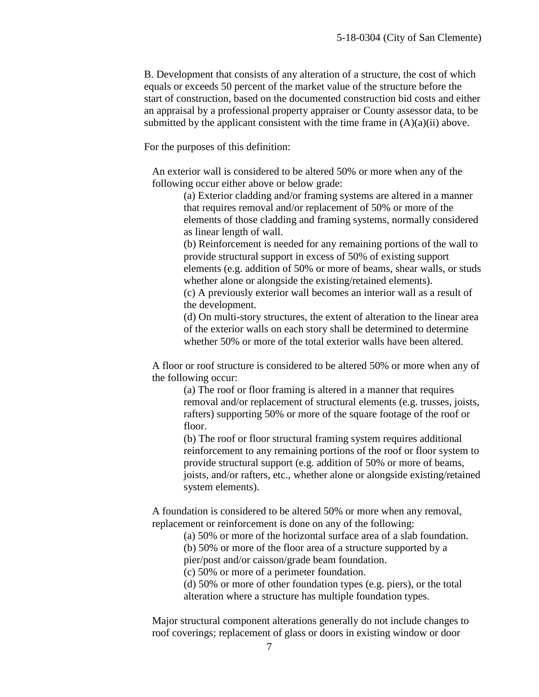B. Development that consists of any alteration of a structure, the cost of which equals or exceeds 50 percent of the market value of the structure before the start of construction, based on the documented construction bid costs and either an appraisal by a professional property appraiser or County assessor data, to be submitted by the applicant consistent with the time frame in  $(A)(a)(ii)$  above.

For the purposes of this definition:

An exterior wall is considered to be altered 50% or more when any of the following occur either above or below grade:

(a) Exterior cladding and/or framing systems are altered in a manner that requires removal and/or replacement of 50% or more of the elements of those cladding and framing systems, normally considered as linear length of wall.

(b) Reinforcement is needed for any remaining portions of the wall to provide structural support in excess of 50% of existing support elements (e.g. addition of 50% or more of beams, shear walls, or studs whether alone or alongside the existing/retained elements).

(c) A previously exterior wall becomes an interior wall as a result of the development.

(d) On multi-story structures, the extent of alteration to the linear area of the exterior walls on each story shall be determined to determine whether 50% or more of the total exterior walls have been altered.

A floor or roof structure is considered to be altered 50% or more when any of the following occur:

(a) The roof or floor framing is altered in a manner that requires removal and/or replacement of structural elements (e.g. trusses, joists, rafters) supporting 50% or more of the square footage of the roof or floor.

(b) The roof or floor structural framing system requires additional reinforcement to any remaining portions of the roof or floor system to provide structural support (e.g. addition of 50% or more of beams, joists, and/or rafters, etc., whether alone or alongside existing/retained system elements).

A foundation is considered to be altered 50% or more when any removal, replacement or reinforcement is done on any of the following:

(a) 50% or more of the horizontal surface area of a slab foundation.

(b) 50% or more of the floor area of a structure supported by a pier/post and/or caisson/grade beam foundation.

(c) 50% or more of a perimeter foundation.

(d) 50% or more of other foundation types (e.g. piers), or the total alteration where a structure has multiple foundation types.

Major structural component alterations generally do not include changes to roof coverings; replacement of glass or doors in existing window or door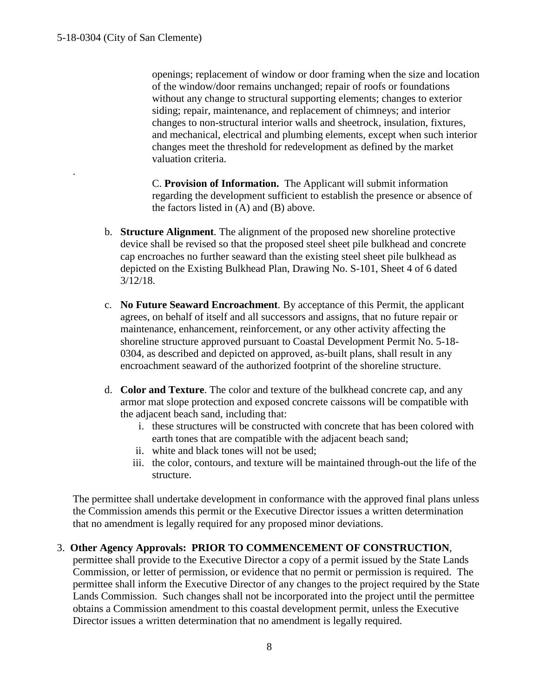.

openings; replacement of window or door framing when the size and location of the window/door remains unchanged; repair of roofs or foundations without any change to structural supporting elements; changes to exterior siding; repair, maintenance, and replacement of chimneys; and interior changes to non-structural interior walls and sheetrock, insulation, fixtures, and mechanical, electrical and plumbing elements, except when such interior changes meet the threshold for redevelopment as defined by the market valuation criteria.

C. **Provision of Information.** The Applicant will submit information regarding the development sufficient to establish the presence or absence of the factors listed in (A) and (B) above.

- b. **Structure Alignment**. The alignment of the proposed new shoreline protective device shall be revised so that the proposed steel sheet pile bulkhead and concrete cap encroaches no further seaward than the existing steel sheet pile bulkhead as depicted on the Existing Bulkhead Plan, Drawing No. S-101, Sheet 4 of 6 dated 3/12/18.
- c. **No Future Seaward Encroachment**. By acceptance of this Permit, the applicant agrees, on behalf of itself and all successors and assigns, that no future repair or maintenance, enhancement, reinforcement, or any other activity affecting the shoreline structure approved pursuant to Coastal Development Permit No. 5-18- 0304, as described and depicted on approved, as-built plans, shall result in any encroachment seaward of the authorized footprint of the shoreline structure.
- d. **Color and Texture**. The color and texture of the bulkhead concrete cap, and any armor mat slope protection and exposed concrete caissons will be compatible with the adjacent beach sand, including that:
	- i. these structures will be constructed with concrete that has been colored with earth tones that are compatible with the adjacent beach sand;
	- ii. white and black tones will not be used;
	- iii. the color, contours, and texture will be maintained through-out the life of the structure.

The permittee shall undertake development in conformance with the approved final plans unless the Commission amends this permit or the Executive Director issues a written determination that no amendment is legally required for any proposed minor deviations.

#### 3. **Other Agency Approvals: PRIOR TO COMMENCEMENT OF CONSTRUCTION**,

permittee shall provide to the Executive Director a copy of a permit issued by the State Lands Commission, or letter of permission, or evidence that no permit or permission is required. The permittee shall inform the Executive Director of any changes to the project required by the State Lands Commission. Such changes shall not be incorporated into the project until the permittee obtains a Commission amendment to this coastal development permit, unless the Executive Director issues a written determination that no amendment is legally required.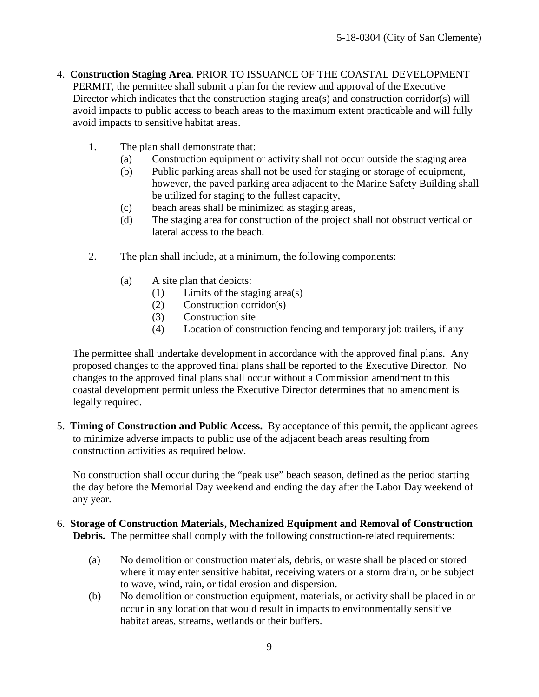- 4. **Construction Staging Area**. PRIOR TO ISSUANCE OF THE COASTAL DEVELOPMENT PERMIT, the permittee shall submit a plan for the review and approval of the Executive Director which indicates that the construction staging area(s) and construction corridor(s) will avoid impacts to public access to beach areas to the maximum extent practicable and will fully avoid impacts to sensitive habitat areas.
	- 1. The plan shall demonstrate that:
		- (a) Construction equipment or activity shall not occur outside the staging area
		- (b) Public parking areas shall not be used for staging or storage of equipment, however, the paved parking area adjacent to the Marine Safety Building shall be utilized for staging to the fullest capacity,
		- (c) beach areas shall be minimized as staging areas,
		- (d) The staging area for construction of the project shall not obstruct vertical or lateral access to the beach.
	- 2. The plan shall include, at a minimum, the following components:
		- (a) A site plan that depicts:
			- (1) Limits of the staging area(s)
			- (2) Construction corridor(s)
			- (3) Construction site
			- (4) Location of construction fencing and temporary job trailers, if any

The permittee shall undertake development in accordance with the approved final plans. Any proposed changes to the approved final plans shall be reported to the Executive Director. No changes to the approved final plans shall occur without a Commission amendment to this coastal development permit unless the Executive Director determines that no amendment is legally required.

5. **Timing of Construction and Public Access.** By acceptance of this permit, the applicant agrees to minimize adverse impacts to public use of the adjacent beach areas resulting from construction activities as required below.

No construction shall occur during the "peak use" beach season, defined as the period starting the day before the Memorial Day weekend and ending the day after the Labor Day weekend of any year.

- 6. **Storage of Construction Materials, Mechanized Equipment and Removal of Construction Debris.** The permittee shall comply with the following construction-related requirements:
	- (a) No demolition or construction materials, debris, or waste shall be placed or stored where it may enter sensitive habitat, receiving waters or a storm drain, or be subject to wave, wind, rain, or tidal erosion and dispersion.
	- (b) No demolition or construction equipment, materials, or activity shall be placed in or occur in any location that would result in impacts to environmentally sensitive habitat areas, streams, wetlands or their buffers.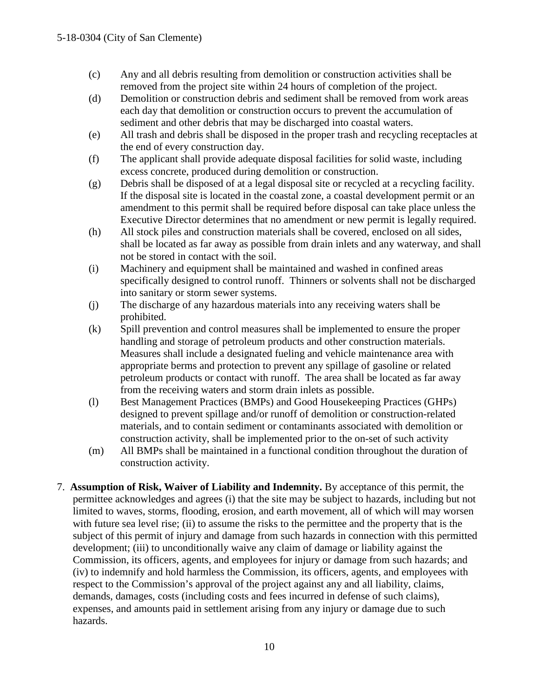- (c) Any and all debris resulting from demolition or construction activities shall be removed from the project site within 24 hours of completion of the project.
- (d) Demolition or construction debris and sediment shall be removed from work areas each day that demolition or construction occurs to prevent the accumulation of sediment and other debris that may be discharged into coastal waters.
- (e) All trash and debris shall be disposed in the proper trash and recycling receptacles at the end of every construction day.
- (f) The applicant shall provide adequate disposal facilities for solid waste, including excess concrete, produced during demolition or construction.
- (g) Debris shall be disposed of at a legal disposal site or recycled at a recycling facility. If the disposal site is located in the coastal zone, a coastal development permit or an amendment to this permit shall be required before disposal can take place unless the Executive Director determines that no amendment or new permit is legally required.
- (h) All stock piles and construction materials shall be covered, enclosed on all sides, shall be located as far away as possible from drain inlets and any waterway, and shall not be stored in contact with the soil.
- (i) Machinery and equipment shall be maintained and washed in confined areas specifically designed to control runoff. Thinners or solvents shall not be discharged into sanitary or storm sewer systems.
- (j) The discharge of any hazardous materials into any receiving waters shall be prohibited.
- (k) Spill prevention and control measures shall be implemented to ensure the proper handling and storage of petroleum products and other construction materials. Measures shall include a designated fueling and vehicle maintenance area with appropriate berms and protection to prevent any spillage of gasoline or related petroleum products or contact with runoff. The area shall be located as far away from the receiving waters and storm drain inlets as possible.
- (l) Best Management Practices (BMPs) and Good Housekeeping Practices (GHPs) designed to prevent spillage and/or runoff of demolition or construction-related materials, and to contain sediment or contaminants associated with demolition or construction activity, shall be implemented prior to the on-set of such activity
- (m) All BMPs shall be maintained in a functional condition throughout the duration of construction activity.
- 7. **Assumption of Risk, Waiver of Liability and Indemnity.** By acceptance of this permit, the permittee acknowledges and agrees (i) that the site may be subject to hazards, including but not limited to waves, storms, flooding, erosion, and earth movement, all of which will may worsen with future sea level rise; (ii) to assume the risks to the permittee and the property that is the subject of this permit of injury and damage from such hazards in connection with this permitted development; (iii) to unconditionally waive any claim of damage or liability against the Commission, its officers, agents, and employees for injury or damage from such hazards; and (iv) to indemnify and hold harmless the Commission, its officers, agents, and employees with respect to the Commission's approval of the project against any and all liability, claims, demands, damages, costs (including costs and fees incurred in defense of such claims), expenses, and amounts paid in settlement arising from any injury or damage due to such hazards.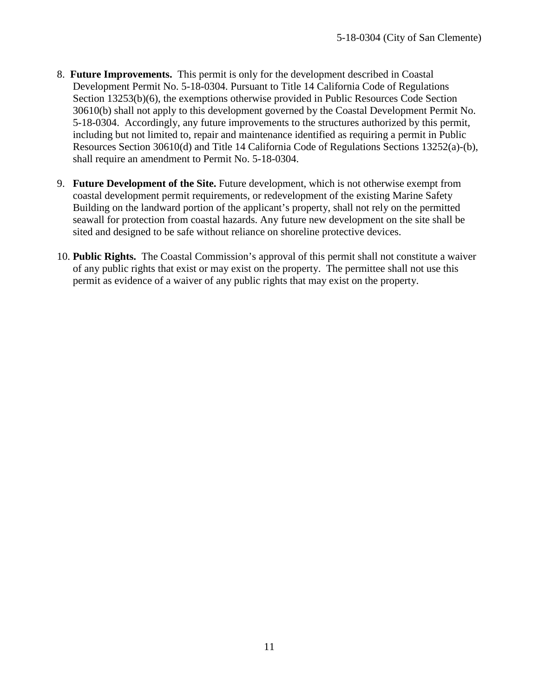- 8. **Future Improvements.** This permit is only for the development described in Coastal Development Permit No. 5-18-0304. Pursuant to Title 14 California Code of Regulations Section 13253(b)(6), the exemptions otherwise provided in Public Resources Code Section 30610(b) shall not apply to this development governed by the Coastal Development Permit No. 5-18-0304. Accordingly, any future improvements to the structures authorized by this permit, including but not limited to, repair and maintenance identified as requiring a permit in Public Resources Section 30610(d) and Title 14 California Code of Regulations Sections 13252(a)-(b), shall require an amendment to Permit No. 5-18-0304.
- 9. **Future Development of the Site.** Future development, which is not otherwise exempt from coastal development permit requirements, or redevelopment of the existing Marine Safety Building on the landward portion of the applicant's property, shall not rely on the permitted seawall for protection from coastal hazards. Any future new development on the site shall be sited and designed to be safe without reliance on shoreline protective devices.
- 10. **Public Rights.** The Coastal Commission's approval of this permit shall not constitute a waiver of any public rights that exist or may exist on the property. The permittee shall not use this permit as evidence of a waiver of any public rights that may exist on the property.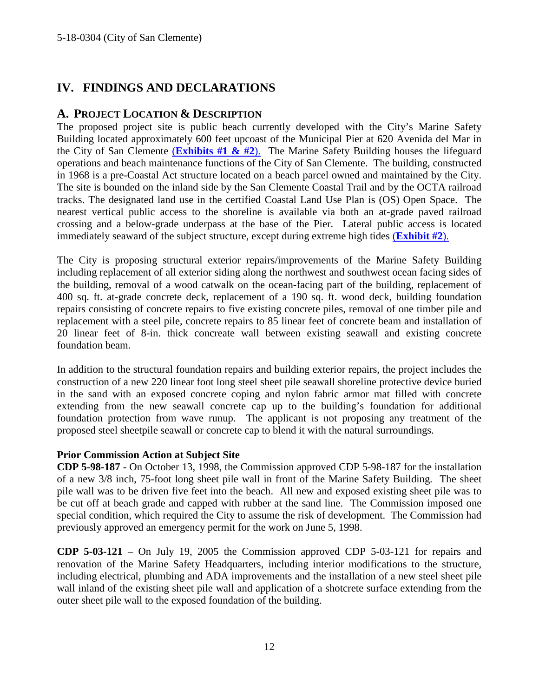## <span id="page-11-0"></span>**IV. FINDINGS AND DECLARATIONS**

#### <span id="page-11-1"></span>**A. PROJECT LOCATION & DESCRIPTION**

The proposed project site is public beach currently developed with the City's Marine Safety Building located approximately 600 feet upcoast of the Municipal Pier at 620 Avenida del Mar in the City of San Clemente (**[Exhibits #1](https://documents.coastal.ca.gov/reports/2018/10/f17e/f17e-10-2018-exhibits.pdf) & #2**). The Marine Safety Building houses the lifeguard operations and beach maintenance functions of the City of San Clemente. The building, constructed in 1968 is a pre-Coastal Act structure located on a beach parcel owned and maintained by the City. The site is bounded on the inland side by the San Clemente Coastal Trail and by the OCTA railroad tracks. The designated land use in the certified Coastal Land Use Plan is (OS) Open Space. The nearest vertical public access to the shoreline is available via both an at-grade paved railroad crossing and a below-grade underpass at the base of the Pier. Lateral public access is located immediately seaward of the subject structure, except during extreme high tides (**[Exhibit #2](https://documents.coastal.ca.gov/reports/2018/10/f17e/f17e-10-2018-exhibits.pdf)**).

The City is proposing structural exterior repairs/improvements of the Marine Safety Building including replacement of all exterior siding along the northwest and southwest ocean facing sides of the building, removal of a wood catwalk on the ocean-facing part of the building, replacement of 400 sq. ft. at-grade concrete deck, replacement of a 190 sq. ft. wood deck, building foundation repairs consisting of concrete repairs to five existing concrete piles, removal of one timber pile and replacement with a steel pile, concrete repairs to 85 linear feet of concrete beam and installation of 20 linear feet of 8-in. thick concreate wall between existing seawall and existing concrete foundation beam.

In addition to the structural foundation repairs and building exterior repairs, the project includes the construction of a new 220 linear foot long steel sheet pile seawall shoreline protective device buried in the sand with an exposed concrete coping and nylon fabric armor mat filled with concrete extending from the new seawall concrete cap up to the building's foundation for additional foundation protection from wave runup. The applicant is not proposing any treatment of the proposed steel sheetpile seawall or concrete cap to blend it with the natural surroundings.

#### **Prior Commission Action at Subject Site**

**CDP 5-98-187** - On October 13, 1998, the Commission approved CDP 5-98-187 for the installation of a new 3/8 inch, 75-foot long sheet pile wall in front of the Marine Safety Building. The sheet pile wall was to be driven five feet into the beach. All new and exposed existing sheet pile was to be cut off at beach grade and capped with rubber at the sand line. The Commission imposed one special condition, which required the City to assume the risk of development. The Commission had previously approved an emergency permit for the work on June 5, 1998.

**CDP 5-03-121** – On July 19, 2005 the Commission approved CDP 5-03-121 for repairs and renovation of the Marine Safety Headquarters, including interior modifications to the structure, including electrical, plumbing and ADA improvements and the installation of a new steel sheet pile wall inland of the existing sheet pile wall and application of a shotcrete surface extending from the outer sheet pile wall to the exposed foundation of the building.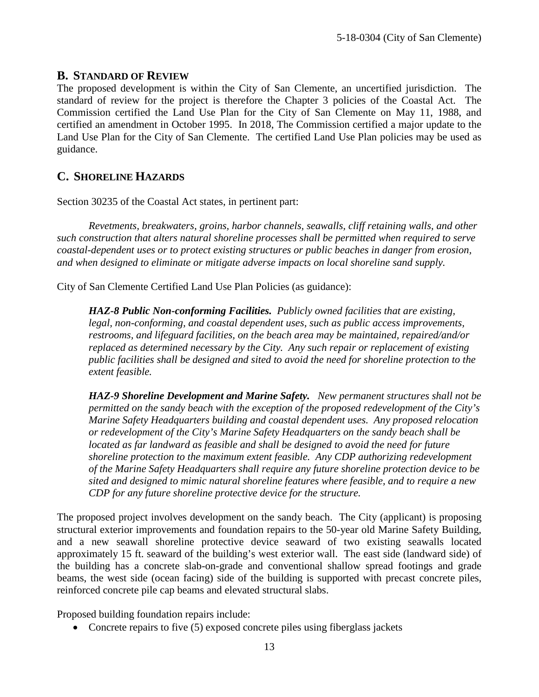#### <span id="page-12-0"></span>**B. STANDARD OF REVIEW**

The proposed development is within the City of San Clemente, an uncertified jurisdiction. The standard of review for the project is therefore the Chapter 3 policies of the Coastal Act. The Commission certified the Land Use Plan for the City of San Clemente on May 11, 1988, and certified an amendment in October 1995. In 2018, The Commission certified a major update to the Land Use Plan for the City of San Clemente. The certified Land Use Plan policies may be used as guidance.

## <span id="page-12-1"></span>**C. SHORELINE HAZARDS**

Section 30235 of the Coastal Act states, in pertinent part:

*Revetments, breakwaters, groins, harbor channels, seawalls, cliff retaining walls, and other such construction that alters natural shoreline processes shall be permitted when required to serve coastal-dependent uses or to protect existing structures or public beaches in danger from erosion, and when designed to eliminate or mitigate adverse impacts on local shoreline sand supply.* 

City of San Clemente Certified Land Use Plan Policies (as guidance):

*HAZ-8 Public Non-conforming Facilities. Publicly owned facilities that are existing, legal, non-conforming, and coastal dependent uses, such as public access improvements, restrooms, and lifeguard facilities, on the beach area may be maintained, repaired/and/or replaced as determined necessary by the City. Any such repair or replacement of existing public facilities shall be designed and sited to avoid the need for shoreline protection to the extent feasible.* 

*HAZ-9 Shoreline Development and Marine Safety. New permanent structures shall not be permitted on the sandy beach with the exception of the proposed redevelopment of the City's Marine Safety Headquarters building and coastal dependent uses. Any proposed relocation or redevelopment of the City's Marine Safety Headquarters on the sandy beach shall be located as far landward as feasible and shall be designed to avoid the need for future shoreline protection to the maximum extent feasible. Any CDP authorizing redevelopment of the Marine Safety Headquarters shall require any future shoreline protection device to be sited and designed to mimic natural shoreline features where feasible, and to require a new CDP for any future shoreline protective device for the structure.*

The proposed project involves development on the sandy beach. The City (applicant) is proposing structural exterior improvements and foundation repairs to the 50-year old Marine Safety Building, and a new seawall shoreline protective device seaward of two existing seawalls located approximately 15 ft. seaward of the building's west exterior wall. The east side (landward side) of the building has a concrete slab-on-grade and conventional shallow spread footings and grade beams, the west side (ocean facing) side of the building is supported with precast concrete piles, reinforced concrete pile cap beams and elevated structural slabs.

Proposed building foundation repairs include:

• Concrete repairs to five (5) exposed concrete piles using fiberglass jackets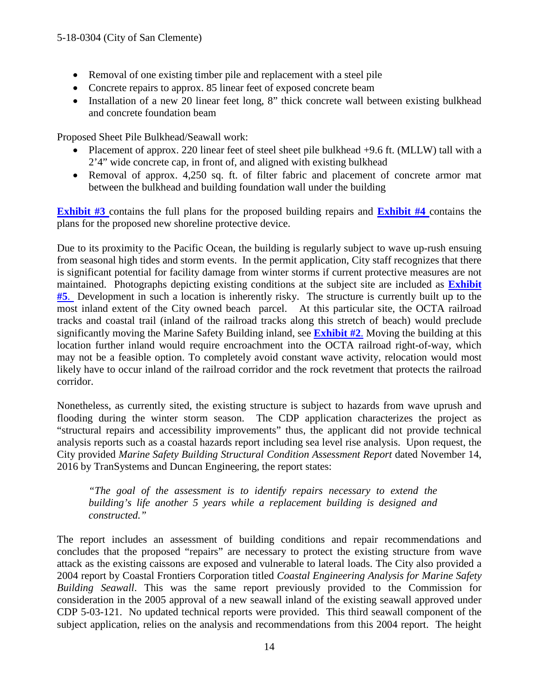- Removal of one existing timber pile and replacement with a steel pile
- Concrete repairs to approx. 85 linear feet of exposed concrete beam
- Installation of a new 20 linear feet long, 8" thick concrete wall between existing bulkhead and concrete foundation beam

Proposed Sheet Pile Bulkhead/Seawall work:

- Placement of approx. 220 linear feet of steel sheet pile bulkhead +9.6 ft. (MLLW) tall with a 2'4" wide concrete cap, in front of, and aligned with existing bulkhead
- Removal of approx. 4,250 sq. ft. of filter fabric and placement of concrete armor mat between the bulkhead and building foundation wall under the building

**[Exhibit #3](https://documents.coastal.ca.gov/reports/2018/10/f17e/f17e-10-2018-exhibits.pdf)** contains the full plans for the proposed building repairs and **[Exhibit #4](https://documents.coastal.ca.gov/reports/2018/10/f17e/f17e-10-2018-exhibits.pdf)** contains the plans for the proposed new shoreline protective device.

Due to its proximity to the Pacific Ocean, the building is regularly subject to wave up-rush ensuing from seasonal high tides and storm events. In the permit application, City staff recognizes that there is significant potential for facility damage from winter storms if current protective measures are not maintained. Photographs depicting existing conditions at the subject site are included as **[Exhibit](https://documents.coastal.ca.gov/reports/2018/10/f17e/f17e-10-2018-exhibits.pdf)  [#5](https://documents.coastal.ca.gov/reports/2018/10/f17e/f17e-10-2018-exhibits.pdf)**. Development in such a location is inherently risky. The structure is currently built up to the most inland extent of the City owned beach parcel. At this particular site, the OCTA railroad tracks and coastal trail (inland of the railroad tracks along this stretch of beach) would preclude significantly moving the Marine Safety Building inland, see **[Exhibit #2](https://documents.coastal.ca.gov/reports/2018/10/f17e/f17e-10-2018-exhibits.pdf)**. Moving the building at this location further inland would require encroachment into the OCTA railroad right-of-way, which may not be a feasible option. To completely avoid constant wave activity, relocation would most likely have to occur inland of the railroad corridor and the rock revetment that protects the railroad corridor.

Nonetheless, as currently sited, the existing structure is subject to hazards from wave uprush and flooding during the winter storm season. The CDP application characterizes the project as "structural repairs and accessibility improvements" thus, the applicant did not provide technical analysis reports such as a coastal hazards report including sea level rise analysis. Upon request, the City provided *Marine Safety Building Structural Condition Assessment Report* dated November 14, 2016 by TranSystems and Duncan Engineering, the report states:

*"The goal of the assessment is to identify repairs necessary to extend the building's life another 5 years while a replacement building is designed and constructed."*

The report includes an assessment of building conditions and repair recommendations and concludes that the proposed "repairs" are necessary to protect the existing structure from wave attack as the existing caissons are exposed and vulnerable to lateral loads. The City also provided a 2004 report by Coastal Frontiers Corporation titled *Coastal Engineering Analysis for Marine Safety Building Seawall*. This was the same report previously provided to the Commission for consideration in the 2005 approval of a new seawall inland of the existing seawall approved under CDP 5-03-121. No updated technical reports were provided. This third seawall component of the subject application, relies on the analysis and recommendations from this 2004 report. The height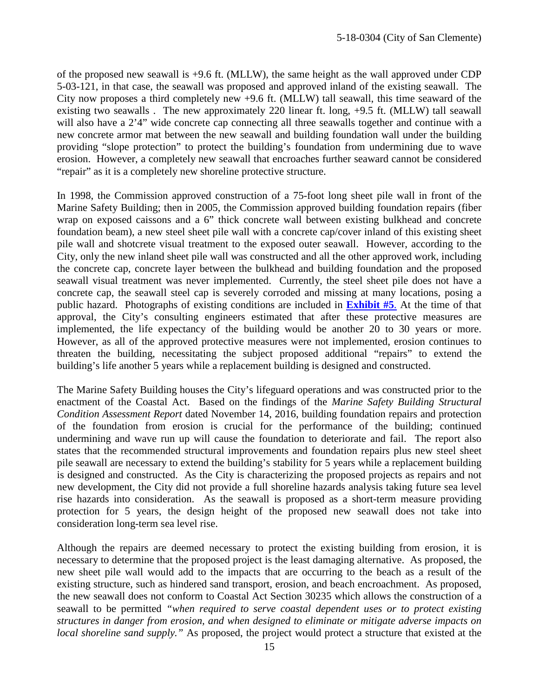of the proposed new seawall is +9.6 ft. (MLLW), the same height as the wall approved under CDP 5-03-121, in that case, the seawall was proposed and approved inland of the existing seawall. The City now proposes a third completely new +9.6 ft. (MLLW) tall seawall, this time seaward of the existing two seawalls . The new approximately 220 linear ft. long, +9.5 ft. (MLLW) tall seawall will also have a 2'4" wide concrete cap connecting all three seawalls together and continue with a new concrete armor mat between the new seawall and building foundation wall under the building providing "slope protection" to protect the building's foundation from undermining due to wave erosion. However, a completely new seawall that encroaches further seaward cannot be considered "repair" as it is a completely new shoreline protective structure.

In 1998, the Commission approved construction of a 75-foot long sheet pile wall in front of the Marine Safety Building; then in 2005, the Commission approved building foundation repairs (fiber wrap on exposed caissons and a 6" thick concrete wall between existing bulkhead and concrete foundation beam), a new steel sheet pile wall with a concrete cap/cover inland of this existing sheet pile wall and shotcrete visual treatment to the exposed outer seawall. However, according to the City, only the new inland sheet pile wall was constructed and all the other approved work, including the concrete cap, concrete layer between the bulkhead and building foundation and the proposed seawall visual treatment was never implemented. Currently, the steel sheet pile does not have a concrete cap, the seawall steel cap is severely corroded and missing at many locations, posing a public hazard. Photographs of existing conditions are included in **[Exhibit #5](https://documents.coastal.ca.gov/reports/2018/10/f17e/f17e-10-2018-exhibits.pdf)**. At the time of that approval, the City's consulting engineers estimated that after these protective measures are implemented, the life expectancy of the building would be another 20 to 30 years or more. However, as all of the approved protective measures were not implemented, erosion continues to threaten the building, necessitating the subject proposed additional "repairs" to extend the building's life another 5 years while a replacement building is designed and constructed.

The Marine Safety Building houses the City's lifeguard operations and was constructed prior to the enactment of the Coastal Act. Based on the findings of the *Marine Safety Building Structural Condition Assessment Report* dated November 14, 2016, building foundation repairs and protection of the foundation from erosion is crucial for the performance of the building; continued undermining and wave run up will cause the foundation to deteriorate and fail. The report also states that the recommended structural improvements and foundation repairs plus new steel sheet pile seawall are necessary to extend the building's stability for 5 years while a replacement building is designed and constructed. As the City is characterizing the proposed projects as repairs and not new development, the City did not provide a full shoreline hazards analysis taking future sea level rise hazards into consideration. As the seawall is proposed as a short-term measure providing protection for 5 years, the design height of the proposed new seawall does not take into consideration long-term sea level rise.

Although the repairs are deemed necessary to protect the existing building from erosion, it is necessary to determine that the proposed project is the least damaging alternative. As proposed, the new sheet pile wall would add to the impacts that are occurring to the beach as a result of the existing structure, such as hindered sand transport, erosion, and beach encroachment. As proposed, the new seawall does not conform to Coastal Act Section 30235 which allows the construction of a seawall to be permitted *"when required to serve coastal dependent uses or to protect existing structures in danger from erosion, and when designed to eliminate or mitigate adverse impacts on local shoreline sand supply."* As proposed, the project would protect a structure that existed at the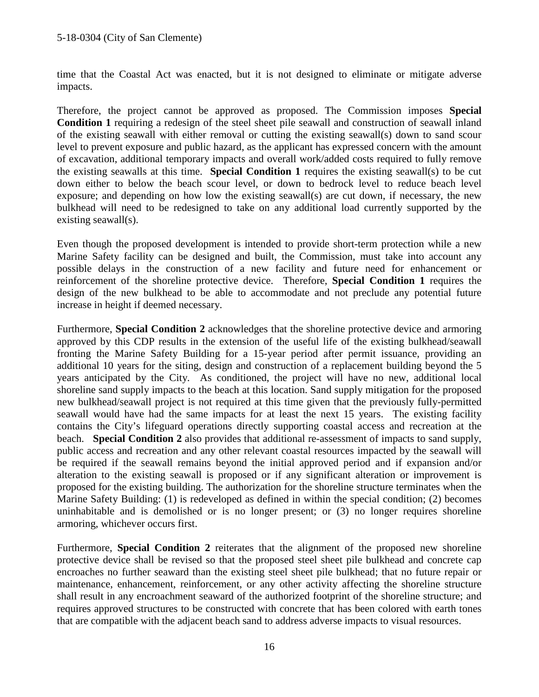time that the Coastal Act was enacted, but it is not designed to eliminate or mitigate adverse impacts.

Therefore, the project cannot be approved as proposed. The Commission imposes **Special Condition 1** requiring a redesign of the steel sheet pile seawall and construction of seawall inland of the existing seawall with either removal or cutting the existing seawall(s) down to sand scour level to prevent exposure and public hazard, as the applicant has expressed concern with the amount of excavation, additional temporary impacts and overall work/added costs required to fully remove the existing seawalls at this time. **Special Condition 1** requires the existing seawall(s) to be cut down either to below the beach scour level, or down to bedrock level to reduce beach level exposure; and depending on how low the existing seawall(s) are cut down, if necessary, the new bulkhead will need to be redesigned to take on any additional load currently supported by the existing seawall(s).

Even though the proposed development is intended to provide short-term protection while a new Marine Safety facility can be designed and built, the Commission, must take into account any possible delays in the construction of a new facility and future need for enhancement or reinforcement of the shoreline protective device. Therefore, **Special Condition 1** requires the design of the new bulkhead to be able to accommodate and not preclude any potential future increase in height if deemed necessary.

Furthermore, **Special Condition 2** acknowledges that the shoreline protective device and armoring approved by this CDP results in the extension of the useful life of the existing bulkhead/seawall fronting the Marine Safety Building for a 15-year period after permit issuance, providing an additional 10 years for the siting, design and construction of a replacement building beyond the 5 years anticipated by the City. As conditioned, the project will have no new, additional local shoreline sand supply impacts to the beach at this location. Sand supply mitigation for the proposed new bulkhead/seawall project is not required at this time given that the previously fully-permitted seawall would have had the same impacts for at least the next 15 years. The existing facility contains the City's lifeguard operations directly supporting coastal access and recreation at the beach. **Special Condition 2** also provides that additional re-assessment of impacts to sand supply, public access and recreation and any other relevant coastal resources impacted by the seawall will be required if the seawall remains beyond the initial approved period and if expansion and/or alteration to the existing seawall is proposed or if any significant alteration or improvement is proposed for the existing building. The authorization for the shoreline structure terminates when the Marine Safety Building: (1) is redeveloped as defined in within the special condition; (2) becomes uninhabitable and is demolished or is no longer present; or (3) no longer requires shoreline armoring, whichever occurs first.

Furthermore, **Special Condition 2** reiterates that the alignment of the proposed new shoreline protective device shall be revised so that the proposed steel sheet pile bulkhead and concrete cap encroaches no further seaward than the existing steel sheet pile bulkhead; that no future repair or maintenance, enhancement, reinforcement, or any other activity affecting the shoreline structure shall result in any encroachment seaward of the authorized footprint of the shoreline structure; and requires approved structures to be constructed with concrete that has been colored with earth tones that are compatible with the adjacent beach sand to address adverse impacts to visual resources.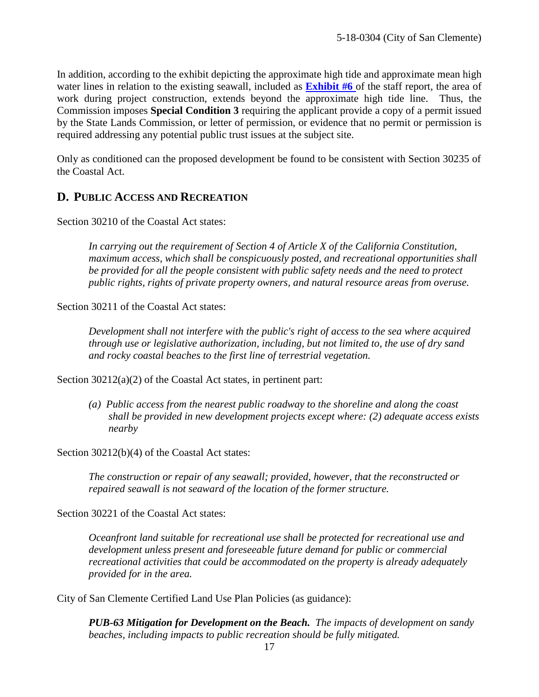In addition, according to the exhibit depicting the approximate high tide and approximate mean high water lines in relation to the existing seawall, included as **[Exhibit #6](https://documents.coastal.ca.gov/reports/2018/10/f17e/f17e-10-2018-exhibits.pdf)** of the staff report, the area of work during project construction, extends beyond the approximate high tide line. Thus, the Commission imposes **Special Condition 3** requiring the applicant provide a copy of a permit issued by the State Lands Commission, or letter of permission, or evidence that no permit or permission is required addressing any potential public trust issues at the subject site.

Only as conditioned can the proposed development be found to be consistent with Section 30235 of the Coastal Act.

#### <span id="page-16-0"></span>**D. PUBLIC ACCESS AND RECREATION**

Section 30210 of the Coastal Act states:

*In carrying out the requirement of Section 4 of Article X of the California Constitution, maximum access, which shall be conspicuously posted, and recreational opportunities shall be provided for all the people consistent with public safety needs and the need to protect public rights, rights of private property owners, and natural resource areas from overuse.* 

Section 30211 of the Coastal Act states:

*Development shall not interfere with the public's right of access to the sea where acquired through use or legislative authorization, including, but not limited to, the use of dry sand and rocky coastal beaches to the first line of terrestrial vegetation.*

Section 30212(a)(2) of the Coastal Act states, in pertinent part:

*(a) Public access from the nearest public roadway to the shoreline and along the coast shall be provided in new development projects except where: (2) adequate access exists nearby* 

Section 30212(b)(4) of the Coastal Act states:

*The construction or repair of any seawall; provided, however, that the reconstructed or repaired seawall is not seaward of the location of the former structure.*

Section 30221 of the Coastal Act states:

*Oceanfront land suitable for recreational use shall be protected for recreational use and development unless present and foreseeable future demand for public or commercial recreational activities that could be accommodated on the property is already adequately provided for in the area.*

City of San Clemente Certified Land Use Plan Policies (as guidance):

*PUB-63 Mitigation for Development on the Beach. The impacts of development on sandy beaches, including impacts to public recreation should be fully mitigated.*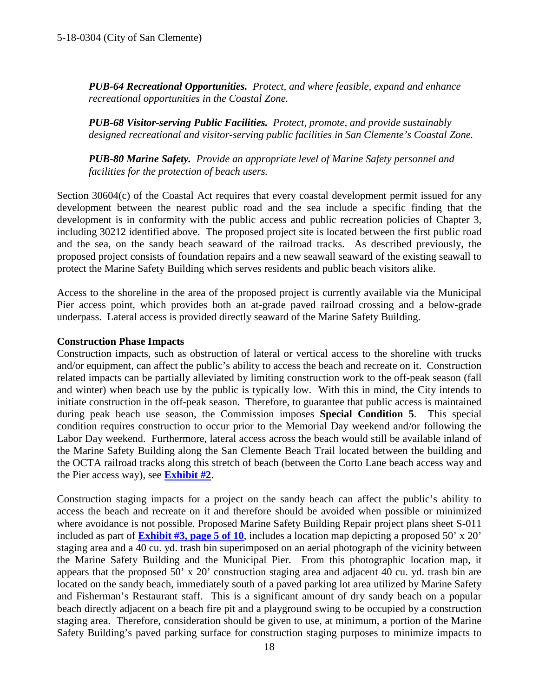*PUB-64 Recreational Opportunities. Protect, and where feasible, expand and enhance recreational opportunities in the Coastal Zone.* 

*PUB-68 Visitor-serving Public Facilities. Protect, promote, and provide sustainably designed recreational and visitor-serving public facilities in San Clemente's Coastal Zone.*

*PUB-80 Marine Safety. Provide an appropriate level of Marine Safety personnel and facilities for the protection of beach users.*

Section 30604(c) of the Coastal Act requires that every coastal development permit issued for any development between the nearest public road and the sea include a specific finding that the development is in conformity with the public access and public recreation policies of Chapter 3, including 30212 identified above. The proposed project site is located between the first public road and the sea, on the sandy beach seaward of the railroad tracks. As described previously, the proposed project consists of foundation repairs and a new seawall seaward of the existing seawall to protect the Marine Safety Building which serves residents and public beach visitors alike.

Access to the shoreline in the area of the proposed project is currently available via the Municipal Pier access point, which provides both an at-grade paved railroad crossing and a below-grade underpass. Lateral access is provided directly seaward of the Marine Safety Building.

#### **Construction Phase Impacts**

Construction impacts, such as obstruction of lateral or vertical access to the shoreline with trucks and/or equipment, can affect the public's ability to access the beach and recreate on it. Construction related impacts can be partially alleviated by limiting construction work to the off-peak season (fall and winter) when beach use by the public is typically low. With this in mind, the City intends to initiate construction in the off-peak season. Therefore, to guarantee that public access is maintained during peak beach use season, the Commission imposes **Special Condition 5**. This special condition requires construction to occur prior to the Memorial Day weekend and/or following the Labor Day weekend. Furthermore, lateral access across the beach would still be available inland of the Marine Safety Building along the San Clemente Beach Trail located between the building and the OCTA railroad tracks along this stretch of beach (between the Corto Lane beach access way and the Pier access way), see **[Exhibit #2](https://documents.coastal.ca.gov/reports/2018/10/f17e/f17e-10-2018-exhibits.pdf)**.

Construction staging impacts for a project on the sandy beach can affect the public's ability to access the beach and recreate on it and therefore should be avoided when possible or minimized where avoidance is not possible. Proposed Marine Safety Building Repair project plans sheet S-011 included as part of **[Exhibit #3, page 5 of 10](https://documents.coastal.ca.gov/reports/2018/10/f17e/f17e-10-2018-exhibits.pdf)**, includes a location map depicting a proposed 50' x 20' staging area and a 40 cu. yd. trash bin superimposed on an aerial photograph of the vicinity between the Marine Safety Building and the Municipal Pier. From this photographic location map, it appears that the proposed 50' x 20' construction staging area and adjacent 40 cu. yd. trash bin are located on the sandy beach, immediately south of a paved parking lot area utilized by Marine Safety and Fisherman's Restaurant staff. This is a significant amount of dry sandy beach on a popular beach directly adjacent on a beach fire pit and a playground swing to be occupied by a construction staging area. Therefore, consideration should be given to use, at minimum, a portion of the Marine Safety Building's paved parking surface for construction staging purposes to minimize impacts to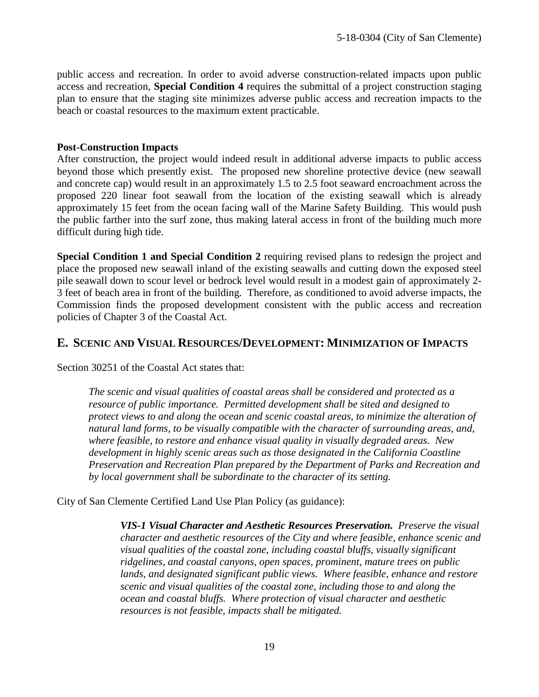public access and recreation. In order to avoid adverse construction-related impacts upon public access and recreation, **Special Condition 4** requires the submittal of a project construction staging plan to ensure that the staging site minimizes adverse public access and recreation impacts to the beach or coastal resources to the maximum extent practicable.

#### **Post-Construction Impacts**

After construction, the project would indeed result in additional adverse impacts to public access beyond those which presently exist. The proposed new shoreline protective device (new seawall and concrete cap) would result in an approximately 1.5 to 2.5 foot seaward encroachment across the proposed 220 linear foot seawall from the location of the existing seawall which is already approximately 15 feet from the ocean facing wall of the Marine Safety Building. This would push the public farther into the surf zone, thus making lateral access in front of the building much more difficult during high tide.

**Special Condition 1 and Special Condition 2** requiring revised plans to redesign the project and place the proposed new seawall inland of the existing seawalls and cutting down the exposed steel pile seawall down to scour level or bedrock level would result in a modest gain of approximately 2- 3 feet of beach area in front of the building. Therefore, as conditioned to avoid adverse impacts, the Commission finds the proposed development consistent with the public access and recreation policies of Chapter 3 of the Coastal Act.

#### <span id="page-18-0"></span>**E. SCENIC AND VISUAL RESOURCES/DEVELOPMENT: MINIMIZATION OF IMPACTS**

Section 30251 of the Coastal Act states that:

*The scenic and visual qualities of coastal areas shall be considered and protected as a resource of public importance. Permitted development shall be sited and designed to protect views to and along the ocean and scenic coastal areas, to minimize the alteration of natural land forms, to be visually compatible with the character of surrounding areas, and, where feasible, to restore and enhance visual quality in visually degraded areas. New development in highly scenic areas such as those designated in the California Coastline Preservation and Recreation Plan prepared by the Department of Parks and Recreation and by local government shall be subordinate to the character of its setting.*

City of San Clemente Certified Land Use Plan Policy (as guidance):

*VIS-1 Visual Character and Aesthetic Resources Preservation. Preserve the visual character and aesthetic resources of the City and where feasible, enhance scenic and visual qualities of the coastal zone, including coastal bluffs, visually significant ridgelines, and coastal canyons, open spaces, prominent, mature trees on public*  lands, and designated significant public views. Where feasible, enhance and restore *scenic and visual qualities of the coastal zone, including those to and along the ocean and coastal bluffs. Where protection of visual character and aesthetic resources is not feasible, impacts shall be mitigated.*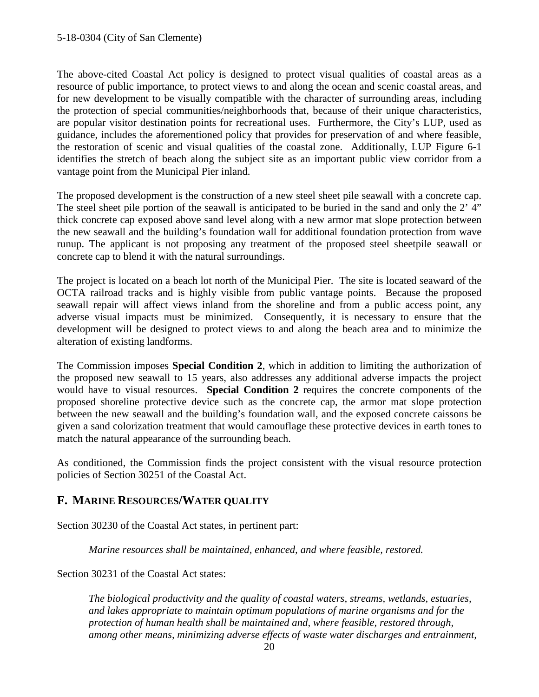The above-cited Coastal Act policy is designed to protect visual qualities of coastal areas as a resource of public importance, to protect views to and along the ocean and scenic coastal areas, and for new development to be visually compatible with the character of surrounding areas, including the protection of special communities/neighborhoods that, because of their unique characteristics, are popular visitor destination points for recreational uses. Furthermore, the City's LUP, used as guidance, includes the aforementioned policy that provides for preservation of and where feasible, the restoration of scenic and visual qualities of the coastal zone. Additionally, LUP Figure 6-1 identifies the stretch of beach along the subject site as an important public view corridor from a vantage point from the Municipal Pier inland.

The proposed development is the construction of a new steel sheet pile seawall with a concrete cap. The steel sheet pile portion of the seawall is anticipated to be buried in the sand and only the 2' 4" thick concrete cap exposed above sand level along with a new armor mat slope protection between the new seawall and the building's foundation wall for additional foundation protection from wave runup. The applicant is not proposing any treatment of the proposed steel sheetpile seawall or concrete cap to blend it with the natural surroundings.

The project is located on a beach lot north of the Municipal Pier. The site is located seaward of the OCTA railroad tracks and is highly visible from public vantage points. Because the proposed seawall repair will affect views inland from the shoreline and from a public access point, any adverse visual impacts must be minimized. Consequently, it is necessary to ensure that the development will be designed to protect views to and along the beach area and to minimize the alteration of existing landforms.

The Commission imposes **Special Condition 2**, which in addition to limiting the authorization of the proposed new seawall to 15 years, also addresses any additional adverse impacts the project would have to visual resources. **Special Condition 2** requires the concrete components of the proposed shoreline protective device such as the concrete cap, the armor mat slope protection between the new seawall and the building's foundation wall, and the exposed concrete caissons be given a sand colorization treatment that would camouflage these protective devices in earth tones to match the natural appearance of the surrounding beach.

As conditioned, the Commission finds the project consistent with the visual resource protection policies of Section 30251 of the Coastal Act.

## <span id="page-19-0"></span>**F. MARINE RESOURCES/WATER QUALITY**

Section 30230 of the Coastal Act states, in pertinent part:

*Marine resources shall be maintained, enhanced, and where feasible, restored.*

Section 30231 of the Coastal Act states:

*The biological productivity and the quality of coastal waters, streams, wetlands, estuaries, and lakes appropriate to maintain optimum populations of marine organisms and for the protection of human health shall be maintained and, where feasible, restored through, among other means, minimizing adverse effects of waste water discharges and entrainment,*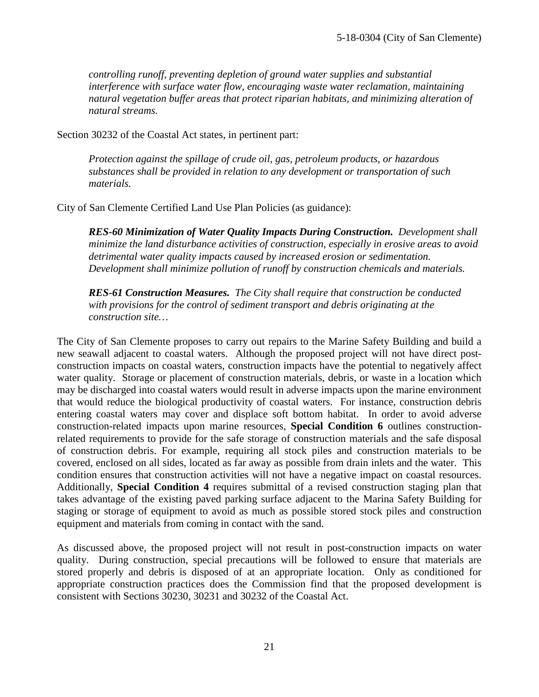*controlling runoff, preventing depletion of ground water supplies and substantial interference with surface water flow, encouraging waste water reclamation, maintaining natural vegetation buffer areas that protect riparian habitats, and minimizing alteration of natural streams.*

Section 30232 of the Coastal Act states, in pertinent part:

*Protection against the spillage of crude oil, gas, petroleum products, or hazardous substances shall be provided in relation to any development or transportation of such materials.*

City of San Clemente Certified Land Use Plan Policies (as guidance):

*RES-60 Minimization of Water Quality Impacts During Construction. Development shall minimize the land disturbance activities of construction, especially in erosive areas to avoid detrimental water quality impacts caused by increased erosion or sedimentation. Development shall minimize pollution of runoff by construction chemicals and materials.* 

*RES-61 Construction Measures. The City shall require that construction be conducted with provisions for the control of sediment transport and debris originating at the construction site…*

The City of San Clemente proposes to carry out repairs to the Marine Safety Building and build a new seawall adjacent to coastal waters. Although the proposed project will not have direct postconstruction impacts on coastal waters, construction impacts have the potential to negatively affect water quality. Storage or placement of construction materials, debris, or waste in a location which may be discharged into coastal waters would result in adverse impacts upon the marine environment that would reduce the biological productivity of coastal waters. For instance, construction debris entering coastal waters may cover and displace soft bottom habitat. In order to avoid adverse construction-related impacts upon marine resources, **Special Condition 6** outlines constructionrelated requirements to provide for the safe storage of construction materials and the safe disposal of construction debris. For example, requiring all stock piles and construction materials to be covered, enclosed on all sides, located as far away as possible from drain inlets and the water. This condition ensures that construction activities will not have a negative impact on coastal resources. Additionally, **Special Condition 4** requires submittal of a revised construction staging plan that takes advantage of the existing paved parking surface adjacent to the Marina Safety Building for staging or storage of equipment to avoid as much as possible stored stock piles and construction equipment and materials from coming in contact with the sand.

As discussed above, the proposed project will not result in post-construction impacts on water quality. During construction, special precautions will be followed to ensure that materials are stored properly and debris is disposed of at an appropriate location. Only as conditioned for appropriate construction practices does the Commission find that the proposed development is consistent with Sections 30230, 30231 and 30232 of the Coastal Act.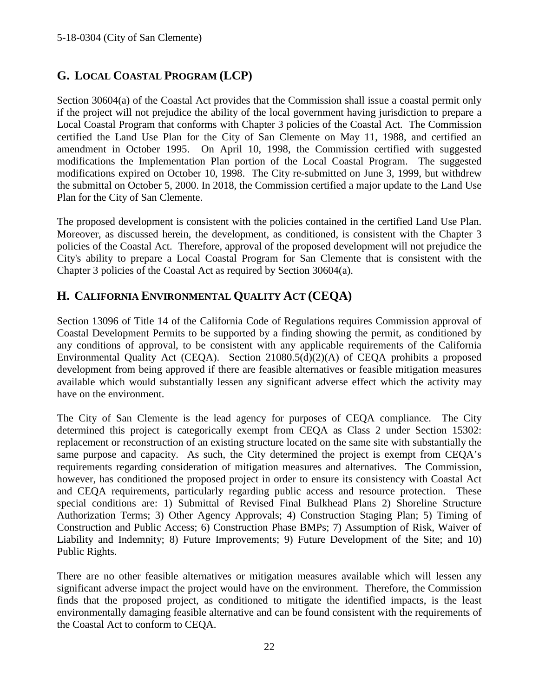## <span id="page-21-0"></span>**G. LOCAL COASTAL PROGRAM (LCP)**

Section 30604(a) of the Coastal Act provides that the Commission shall issue a coastal permit only if the project will not prejudice the ability of the local government having jurisdiction to prepare a Local Coastal Program that conforms with Chapter 3 policies of the Coastal Act. The Commission certified the Land Use Plan for the City of San Clemente on May 11, 1988, and certified an amendment in October 1995. On April 10, 1998, the Commission certified with suggested modifications the Implementation Plan portion of the Local Coastal Program. The suggested modifications expired on October 10, 1998. The City re-submitted on June 3, 1999, but withdrew the submittal on October 5, 2000. In 2018, the Commission certified a major update to the Land Use Plan for the City of San Clemente.

The proposed development is consistent with the policies contained in the certified Land Use Plan. Moreover, as discussed herein, the development, as conditioned, is consistent with the Chapter 3 policies of the Coastal Act. Therefore, approval of the proposed development will not prejudice the City's ability to prepare a Local Coastal Program for San Clemente that is consistent with the Chapter 3 policies of the Coastal Act as required by Section 30604(a).

## <span id="page-21-1"></span>**H. CALIFORNIA ENVIRONMENTAL QUALITY ACT (CEQA)**

Section 13096 of Title 14 of the California Code of Regulations requires Commission approval of Coastal Development Permits to be supported by a finding showing the permit, as conditioned by any conditions of approval, to be consistent with any applicable requirements of the California Environmental Quality Act (CEQA). Section 21080.5(d)(2)(A) of CEQA prohibits a proposed development from being approved if there are feasible alternatives or feasible mitigation measures available which would substantially lessen any significant adverse effect which the activity may have on the environment.

The City of San Clemente is the lead agency for purposes of CEQA compliance. The City determined this project is categorically exempt from CEQA as Class 2 under Section 15302: replacement or reconstruction of an existing structure located on the same site with substantially the same purpose and capacity. As such, the City determined the project is exempt from CEQA's requirements regarding consideration of mitigation measures and alternatives. The Commission, however, has conditioned the proposed project in order to ensure its consistency with Coastal Act and CEQA requirements, particularly regarding public access and resource protection. These special conditions are: 1) Submittal of Revised Final Bulkhead Plans 2) Shoreline Structure Authorization Terms; 3) Other Agency Approvals; 4) Construction Staging Plan; 5) Timing of Construction and Public Access; 6) Construction Phase BMPs; 7) Assumption of Risk, Waiver of Liability and Indemnity; 8) Future Improvements; 9) Future Development of the Site; and 10) Public Rights.

There are no other feasible alternatives or mitigation measures available which will lessen any significant adverse impact the project would have on the environment. Therefore, the Commission finds that the proposed project, as conditioned to mitigate the identified impacts, is the least environmentally damaging feasible alternative and can be found consistent with the requirements of the Coastal Act to conform to CEQA.